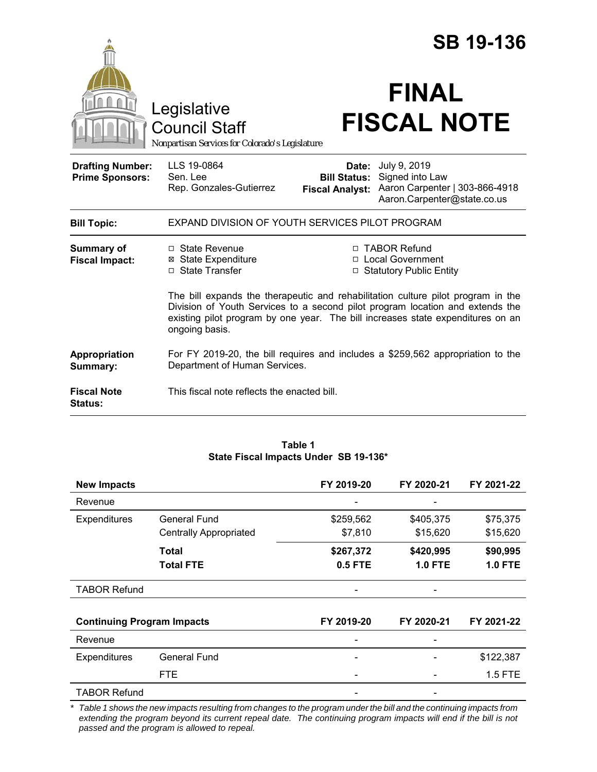|                                                   |                                                                                                                                                                                                                                                                        | <b>SB 19-136</b>                                       |                                                                                                  |  |
|---------------------------------------------------|------------------------------------------------------------------------------------------------------------------------------------------------------------------------------------------------------------------------------------------------------------------------|--------------------------------------------------------|--------------------------------------------------------------------------------------------------|--|
|                                                   | Legislative<br><b>Council Staff</b><br>Nonpartisan Services for Colorado's Legislature                                                                                                                                                                                 |                                                        | <b>FINAL</b><br><b>FISCAL NOTE</b>                                                               |  |
| <b>Drafting Number:</b><br><b>Prime Sponsors:</b> | LLS 19-0864<br>Sen. Lee<br>Rep. Gonzales-Gutierrez                                                                                                                                                                                                                     | Date:<br><b>Bill Status:</b><br><b>Fiscal Analyst:</b> | July 9, 2019<br>Signed into Law<br>Aaron Carpenter   303-866-4918<br>Aaron.Carpenter@state.co.us |  |
| <b>Bill Topic:</b>                                | EXPAND DIVISION OF YOUTH SERVICES PILOT PROGRAM                                                                                                                                                                                                                        |                                                        |                                                                                                  |  |
| <b>Summary of</b><br><b>Fiscal Impact:</b>        | $\Box$ State Revenue<br><b>⊠</b> State Expenditure<br>□ State Transfer                                                                                                                                                                                                 |                                                        | □ TABOR Refund<br>□ Local Government<br>□ Statutory Public Entity                                |  |
|                                                   | The bill expands the therapeutic and rehabilitation culture pilot program in the<br>Division of Youth Services to a second pilot program location and extends the<br>existing pilot program by one year. The bill increases state expenditures on an<br>ongoing basis. |                                                        |                                                                                                  |  |
| Appropriation<br>Summary:                         | For FY 2019-20, the bill requires and includes a \$259,562 appropriation to the<br>Department of Human Services.                                                                                                                                                       |                                                        |                                                                                                  |  |
| <b>Fiscal Note</b><br>Status:                     | This fiscal note reflects the enacted bill.                                                                                                                                                                                                                            |                                                        |                                                                                                  |  |

#### **Table 1 State Fiscal Impacts Under SB 19-136\***

| <b>New Impacts</b>                |                               | FY 2019-20 | FY 2020-21     | FY 2021-22     |
|-----------------------------------|-------------------------------|------------|----------------|----------------|
| Revenue                           |                               |            |                |                |
| Expenditures                      | <b>General Fund</b>           | \$259,562  | \$405,375      | \$75,375       |
|                                   | <b>Centrally Appropriated</b> | \$7,810    | \$15,620       | \$15,620       |
|                                   | Total                         | \$267,372  | \$420,995      | \$90,995       |
|                                   | <b>Total FTE</b>              | 0.5 FTE    | <b>1.0 FTE</b> | <b>1.0 FTE</b> |
| <b>TABOR Refund</b>               |                               |            |                |                |
| <b>Continuing Program Impacts</b> |                               | FY 2019-20 | FY 2020-21     | FY 2021-22     |
| Revenue                           |                               |            |                |                |
| Expenditures                      | <b>General Fund</b>           | -          |                | \$122,387      |
|                                   | <b>FTE</b>                    |            |                | 1.5 FTE        |
| <b>TABOR Refund</b>               |                               |            |                |                |

\* Table 1 shows the new impacts resulting from changes to the program under the bill and the continuing impacts from *extending the program beyond its current repeal date. The continuing program impacts will end if the bill is not passed and the program is allowed to repeal.*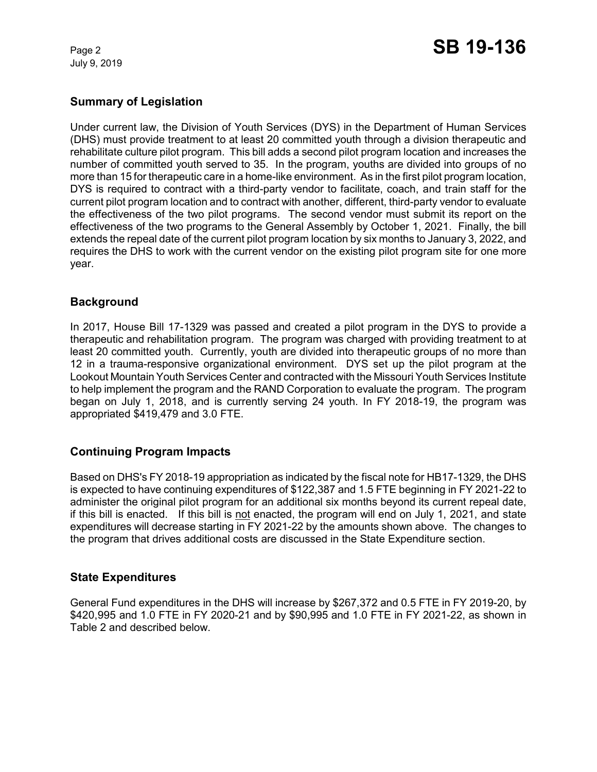July 9, 2019

# **Summary of Legislation**

Under current law, the Division of Youth Services (DYS) in the Department of Human Services (DHS) must provide treatment to at least 20 committed youth through a division therapeutic and rehabilitate culture pilot program. This bill adds a second pilot program location and increases the number of committed youth served to 35. In the program, youths are divided into groups of no more than 15 for therapeutic care in a home-like environment. As in the first pilot program location, DYS is required to contract with a third-party vendor to facilitate, coach, and train staff for the current pilot program location and to contract with another, different, third-party vendor to evaluate the effectiveness of the two pilot programs. The second vendor must submit its report on the effectiveness of the two programs to the General Assembly by October 1, 2021. Finally, the bill extends the repeal date of the current pilot program location by six months to January 3, 2022, and requires the DHS to work with the current vendor on the existing pilot program site for one more year.

## **Background**

In 2017, House Bill 17-1329 was passed and created a pilot program in the DYS to provide a therapeutic and rehabilitation program. The program was charged with providing treatment to at least 20 committed youth. Currently, youth are divided into therapeutic groups of no more than 12 in a trauma-responsive organizational environment. DYS set up the pilot program at the Lookout Mountain Youth Services Center and contracted with the Missouri Youth Services Institute to help implement the program and the RAND Corporation to evaluate the program. The program began on July 1, 2018, and is currently serving 24 youth. In FY 2018-19, the program was appropriated \$419,479 and 3.0 FTE.

# **Continuing Program Impacts**

Based on DHS's FY 2018-19 appropriation as indicated by the fiscal note for HB17-1329, the DHS is expected to have continuing expenditures of \$122,387 and 1.5 FTE beginning in FY 2021-22 to administer the original pilot program for an additional six months beyond its current repeal date, if this bill is enacted. If this bill is not enacted, the program will end on July 1, 2021, and state expenditures will decrease starting in FY 2021-22 by the amounts shown above. The changes to the program that drives additional costs are discussed in the State Expenditure section.

### **State Expenditures**

General Fund expenditures in the DHS will increase by \$267,372 and 0.5 FTE in FY 2019-20, by \$420,995 and 1.0 FTE in FY 2020-21 and by \$90,995 and 1.0 FTE in FY 2021-22, as shown in Table 2 and described below.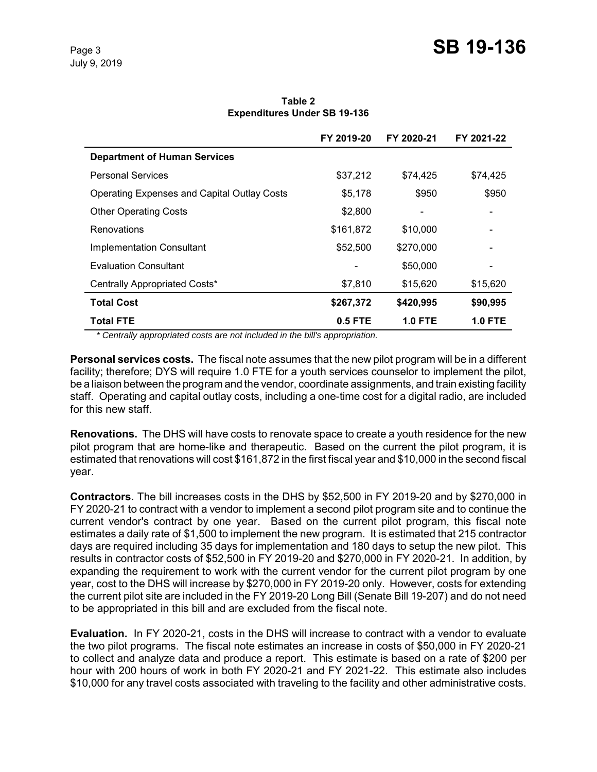**Table 2 Expenditures Under SB 19-136**

|                                                    | FY 2019-20 | FY 2020-21     | FY 2021-22 |
|----------------------------------------------------|------------|----------------|------------|
| <b>Department of Human Services</b>                |            |                |            |
| <b>Personal Services</b>                           | \$37,212   | \$74.425       | \$74,425   |
| <b>Operating Expenses and Capital Outlay Costs</b> | \$5,178    | \$950          | \$950      |
| <b>Other Operating Costs</b>                       | \$2,800    |                |            |
| Renovations                                        | \$161,872  | \$10,000       |            |
| <b>Implementation Consultant</b>                   | \$52,500   | \$270,000      |            |
| Evaluation Consultant                              |            | \$50,000       |            |
| Centrally Appropriated Costs*                      | \$7,810    | \$15,620       | \$15,620   |
| <b>Total Cost</b>                                  | \$267,372  | \$420,995      | \$90,995   |
| Total FTE                                          | $0.5$ FTE  | <b>1.0 FTE</b> | 1.0 FTE    |

*\* Centrally appropriated costs are not included in the bill's appropriation.*

**Personal services costs.** The fiscal note assumes that the new pilot program will be in a different facility; therefore; DYS will require 1.0 FTE for a youth services counselor to implement the pilot, be a liaison between the program and the vendor, coordinate assignments, and train existing facility staff. Operating and capital outlay costs, including a one-time cost for a digital radio, are included for this new staff.

**Renovations.** The DHS will have costs to renovate space to create a youth residence for the new pilot program that are home-like and therapeutic. Based on the current the pilot program, it is estimated that renovations will cost \$161,872 in the first fiscal year and \$10,000 in the second fiscal year.

**Contractors.** The bill increases costs in the DHS by \$52,500 in FY 2019-20 and by \$270,000 in FY 2020-21 to contract with a vendor to implement a second pilot program site and to continue the current vendor's contract by one year. Based on the current pilot program, this fiscal note estimates a daily rate of \$1,500 to implement the new program. It is estimated that 215 contractor days are required including 35 days for implementation and 180 days to setup the new pilot. This results in contractor costs of \$52,500 in FY 2019-20 and \$270,000 in FY 2020-21. In addition, by expanding the requirement to work with the current vendor for the current pilot program by one year, cost to the DHS will increase by \$270,000 in FY 2019-20 only. However, costs for extending the current pilot site are included in the FY 2019-20 Long Bill (Senate Bill 19-207) and do not need to be appropriated in this bill and are excluded from the fiscal note.

**Evaluation.** In FY 2020-21, costs in the DHS will increase to contract with a vendor to evaluate the two pilot programs. The fiscal note estimates an increase in costs of \$50,000 in FY 2020-21 to collect and analyze data and produce a report. This estimate is based on a rate of \$200 per hour with 200 hours of work in both FY 2020-21 and FY 2021-22. This estimate also includes \$10,000 for any travel costs associated with traveling to the facility and other administrative costs.